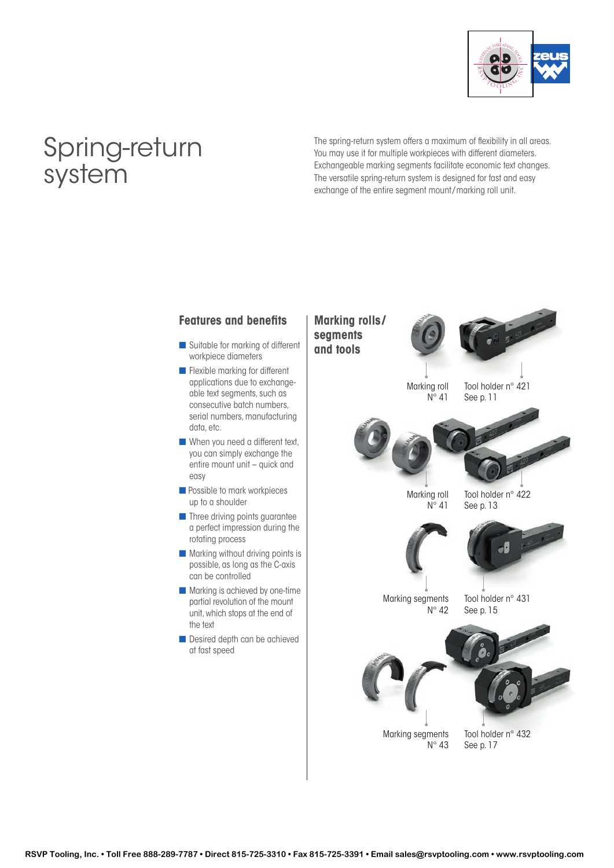

# Spring-return system

The spring-return system offers a maximum of flexibility in all areas. You may use it for multiple workpieces with different diameters. Exchangeable marking segments facilitate economic text changes. The versatile spring-return system is designed for fast and easy exchange of the entire segment mount/marking roll unit.

## **Features and benefits**

- Suitable for marking of different workpiece diameters
- **n** Flexible marking for different applications due to exchangeable text segments, such as consecutive batch numbers, serial numbers, manufacturing data, etc.
- $\blacksquare$  When you need a different text, you can simply exchange the entire mount unit – quick and easy
- **n** Possible to mark workpieces up to a shoulder
- **n** Three driving points guarantee a perfect impression during the rotating process
- $\blacksquare$  Marking without driving points is possible, as long as the C-axis can be controlled
- **n** Marking is achieved by one-time partial revolution of the mount unit, which stops at the end of the text
- **n** Desired depth can be achieved at fast speed

Marking segments N° 42 Tool holder n° 431 See p. 15 Marking roll N° 41 Tool holder n° 422 See p. 13 Marking roll  $N^{\circ}$  41 Tool holder n° 421 See p. 11 **Marking rolls / segments and tools**

> Marking segments  $N^{\circ}$  43

Tool holder n° 432 See p. 17